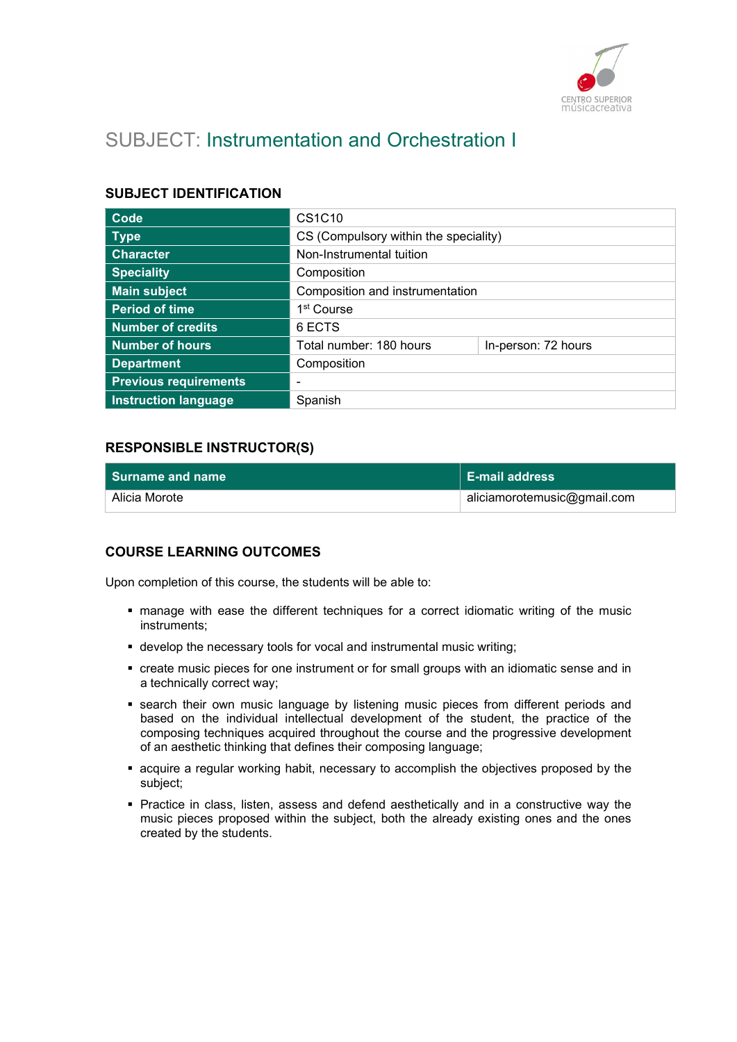

# SUBJECT: Instrumentation and Orchestration I

## SUBJECT IDENTIFICATION

| Code                         | CS1C10                                |                     |
|------------------------------|---------------------------------------|---------------------|
| <b>Type</b>                  | CS (Compulsory within the speciality) |                     |
| <b>Character</b>             | Non-Instrumental tuition              |                     |
| <b>Speciality</b>            | Composition                           |                     |
| <b>Main subject</b>          | Composition and instrumentation       |                     |
| <b>Period of time</b>        | 1 <sup>st</sup> Course                |                     |
| <b>Number of credits</b>     | 6 ECTS                                |                     |
| Number of hours              | Total number: 180 hours               | In-person: 72 hours |
| <b>Department</b>            | Composition                           |                     |
| <b>Previous requirements</b> | $\blacksquare$                        |                     |
| <b>Instruction language</b>  | Spanish                               |                     |

## RESPONSIBLE INSTRUCTOR(S)

| l Surname and name | $\mathsf I$ E-mail address  |
|--------------------|-----------------------------|
| Alicia Morote      | aliciamorotemusic@gmail.com |

#### COURSE LEARNING OUTCOMES

Upon completion of this course, the students will be able to:

- manage with ease the different techniques for a correct idiomatic writing of the music instruments;
- develop the necessary tools for vocal and instrumental music writing;
- create music pieces for one instrument or for small groups with an idiomatic sense and in a technically correct way;
- **search their own music language by listening music pieces from different periods and** based on the individual intellectual development of the student, the practice of the composing techniques acquired throughout the course and the progressive development of an aesthetic thinking that defines their composing language;
- acquire a regular working habit, necessary to accomplish the objectives proposed by the subject;
- Practice in class, listen, assess and defend aesthetically and in a constructive way the music pieces proposed within the subject, both the already existing ones and the ones created by the students.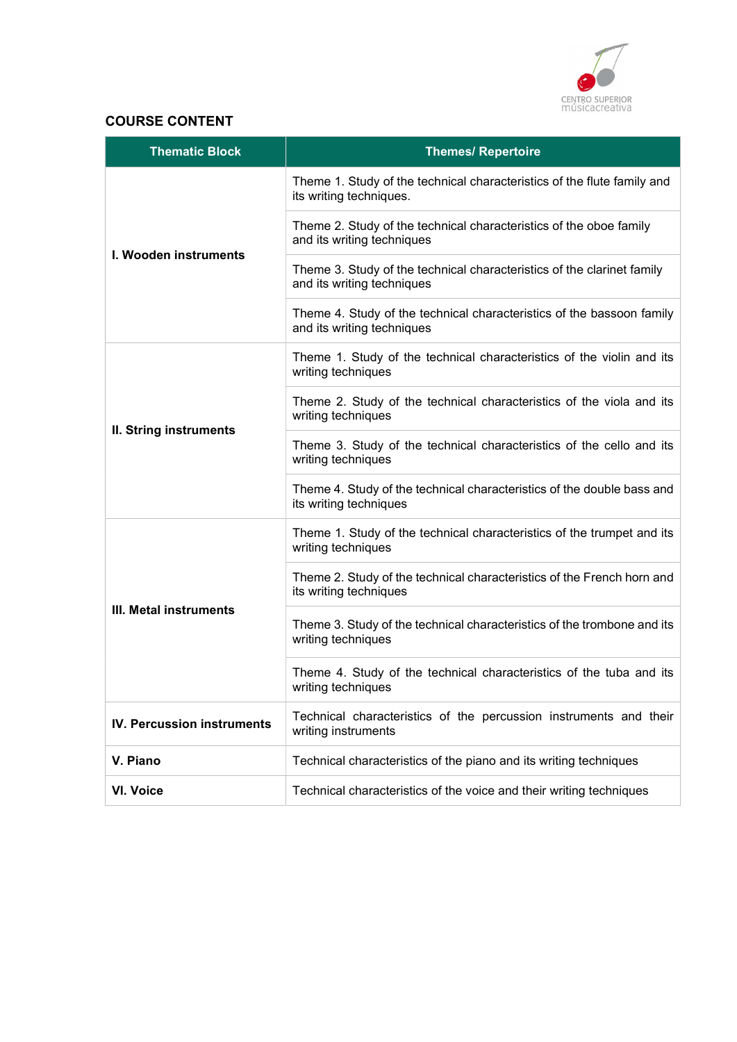

## COURSE CONTENT

| <b>Thematic Block</b>             | <b>Themes/ Repertoire</b>                                                                            |
|-----------------------------------|------------------------------------------------------------------------------------------------------|
| I. Wooden instruments             | Theme 1. Study of the technical characteristics of the flute family and<br>its writing techniques.   |
|                                   | Theme 2. Study of the technical characteristics of the oboe family<br>and its writing techniques     |
|                                   | Theme 3. Study of the technical characteristics of the clarinet family<br>and its writing techniques |
|                                   | Theme 4. Study of the technical characteristics of the bassoon family<br>and its writing techniques  |
|                                   | Theme 1. Study of the technical characteristics of the violin and its<br>writing techniques          |
|                                   | Theme 2. Study of the technical characteristics of the viola and its<br>writing techniques           |
| II. String instruments            | Theme 3. Study of the technical characteristics of the cello and its<br>writing techniques           |
|                                   | Theme 4. Study of the technical characteristics of the double bass and<br>its writing techniques     |
| III. Metal instruments            | Theme 1. Study of the technical characteristics of the trumpet and its<br>writing techniques         |
|                                   | Theme 2. Study of the technical characteristics of the French horn and<br>its writing techniques     |
|                                   | Theme 3. Study of the technical characteristics of the trombone and its<br>writing techniques        |
|                                   | Theme 4. Study of the technical characteristics of the tuba and its<br>writing techniques            |
| <b>IV. Percussion instruments</b> | Technical characteristics of the percussion instruments and their<br>writing instruments             |
| V. Piano                          | Technical characteristics of the piano and its writing techniques                                    |
| <b>VI. Voice</b>                  | Technical characteristics of the voice and their writing techniques                                  |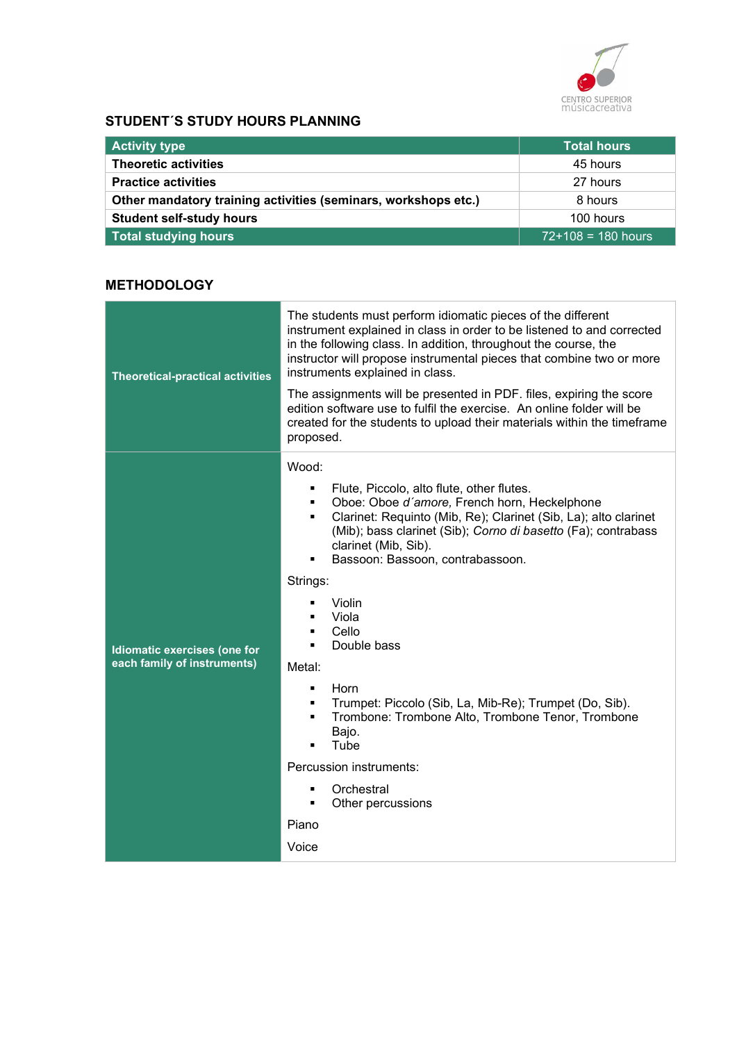

## STUDENT´S STUDY HOURS PLANNING

| <b>Activity type</b>                                           | <b>Total hours</b>   |
|----------------------------------------------------------------|----------------------|
| <b>Theoretic activities</b>                                    | 45 hours             |
| <b>Practice activities</b>                                     | 27 hours             |
| Other mandatory training activities (seminars, workshops etc.) | 8 hours              |
| <b>Student self-study hours</b>                                | 100 hours            |
| <b>Total studying hours</b>                                    | $72+108 = 180$ hours |

## **METHODOLOGY**

| <b>Theoretical-practical activities</b>                     | The students must perform idiomatic pieces of the different<br>instrument explained in class in order to be listened to and corrected<br>in the following class. In addition, throughout the course, the<br>instructor will propose instrumental pieces that combine two or more<br>instruments explained in class.<br>The assignments will be presented in PDF. files, expiring the score<br>edition software use to fulfil the exercise. An online folder will be<br>created for the students to upload their materials within the timeframe<br>proposed.                                                                                                                                                                       |
|-------------------------------------------------------------|-----------------------------------------------------------------------------------------------------------------------------------------------------------------------------------------------------------------------------------------------------------------------------------------------------------------------------------------------------------------------------------------------------------------------------------------------------------------------------------------------------------------------------------------------------------------------------------------------------------------------------------------------------------------------------------------------------------------------------------|
| Idiomatic exercises (one for<br>each family of instruments) | Wood:<br>Flute, Piccolo, alto flute, other flutes.<br>$\blacksquare$<br>Oboe: Oboe d'amore, French horn, Heckelphone<br>$\blacksquare$<br>Clarinet: Requinto (Mib, Re); Clarinet (Sib, La); alto clarinet<br>$\blacksquare$<br>(Mib); bass clarinet (Sib); Corno di basetto (Fa); contrabass<br>clarinet (Mib, Sib).<br>Bassoon: Bassoon, contrabassoon.<br>Strings:<br>Violin<br>٠<br>Viola<br>Cello<br>$\blacksquare$<br>Double bass<br>п.<br>Metal:<br>Horn<br>Trumpet: Piccolo (Sib, La, Mib-Re); Trumpet (Do, Sib).<br>$\blacksquare$<br>Trombone: Trombone Alto, Trombone Tenor, Trombone<br>$\blacksquare$<br>Bajo.<br>Tube<br>٠<br>Percussion instruments:<br>Orchestral<br>٠<br>Other percussions<br>٠<br>Piano<br>Voice |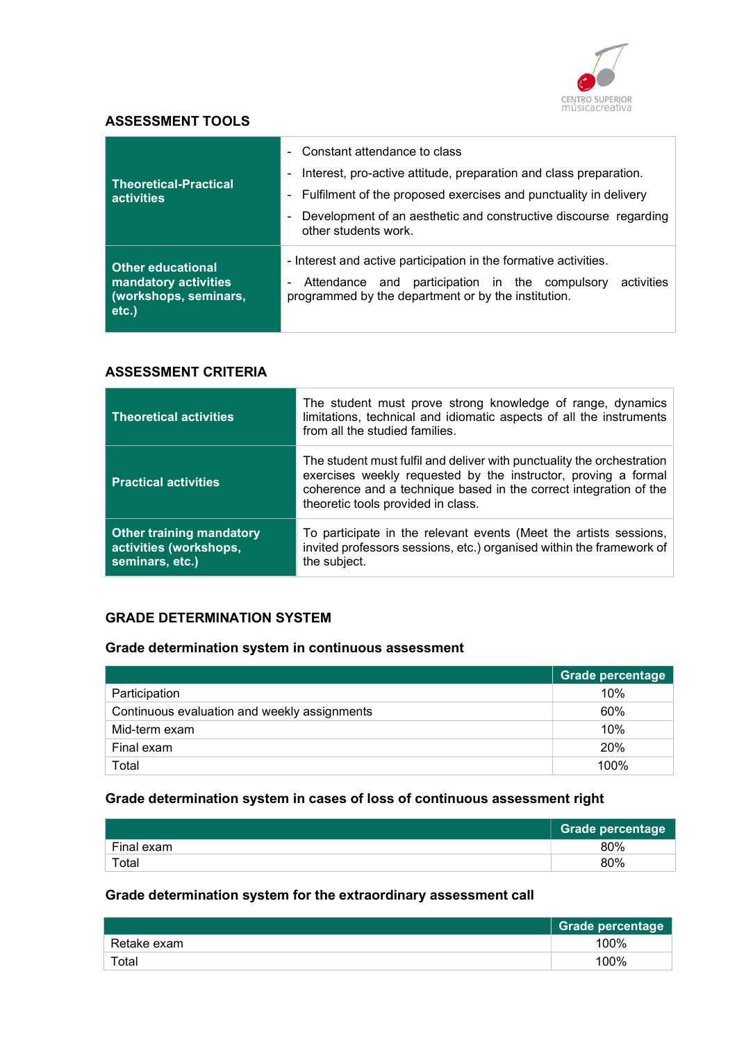

#### ASSESSMENT TOOLS

| <b>Theoretical-Practical</b><br>activities                                            | - Constant attendance to class<br>Interest, pro-active attitude, preparation and class preparation.<br>۰.                                                                                  |  |
|---------------------------------------------------------------------------------------|--------------------------------------------------------------------------------------------------------------------------------------------------------------------------------------------|--|
|                                                                                       | - Fulfilment of the proposed exercises and punctuality in delivery                                                                                                                         |  |
|                                                                                       | Development of an aesthetic and constructive discourse regarding<br>other students work.                                                                                                   |  |
| <b>Other educational</b><br>mandatory activities<br>(workshops, seminars,<br>$etc.$ ) | - Interest and active participation in the formative activities.<br>activities<br>participation in the compulsory<br>Attendance and<br>programmed by the department or by the institution. |  |

#### ASSESSMENT CRITERIA

| <b>Theoretical activities</b>                                                | The student must prove strong knowledge of range, dynamics<br>limitations, technical and idiomatic aspects of all the instruments<br>from all the studied families.                                                                                 |
|------------------------------------------------------------------------------|-----------------------------------------------------------------------------------------------------------------------------------------------------------------------------------------------------------------------------------------------------|
| <b>Practical activities</b>                                                  | The student must fulfil and deliver with punctuality the orchestration<br>exercises weekly requested by the instructor, proving a formal<br>coherence and a technique based in the correct integration of the<br>theoretic tools provided in class. |
| <b>Other training mandatory</b><br>activities (workshops,<br>seminars, etc.) | To participate in the relevant events (Meet the artists sessions,<br>invited professors sessions, etc.) organised within the framework of<br>the subject.                                                                                           |

## GRADE DETERMINATION SYSTEM

## Grade determination system in continuous assessment

|                                              | <b>Grade percentage</b> |
|----------------------------------------------|-------------------------|
| Participation                                | 10%                     |
| Continuous evaluation and weekly assignments | 60%                     |
| Mid-term exam                                | 10%                     |
| Final exam                                   | 20%                     |
| Total                                        | 100%                    |

## Grade determination system in cases of loss of continuous assessment right

|            | <b>Grade percentage</b> |
|------------|-------------------------|
| Final exam | 80%                     |
| Total      | 80%                     |

## Grade determination system for the extraordinary assessment call

|             | Grade percentage |
|-------------|------------------|
| Retake exam | 100%             |
| Total       | 100%             |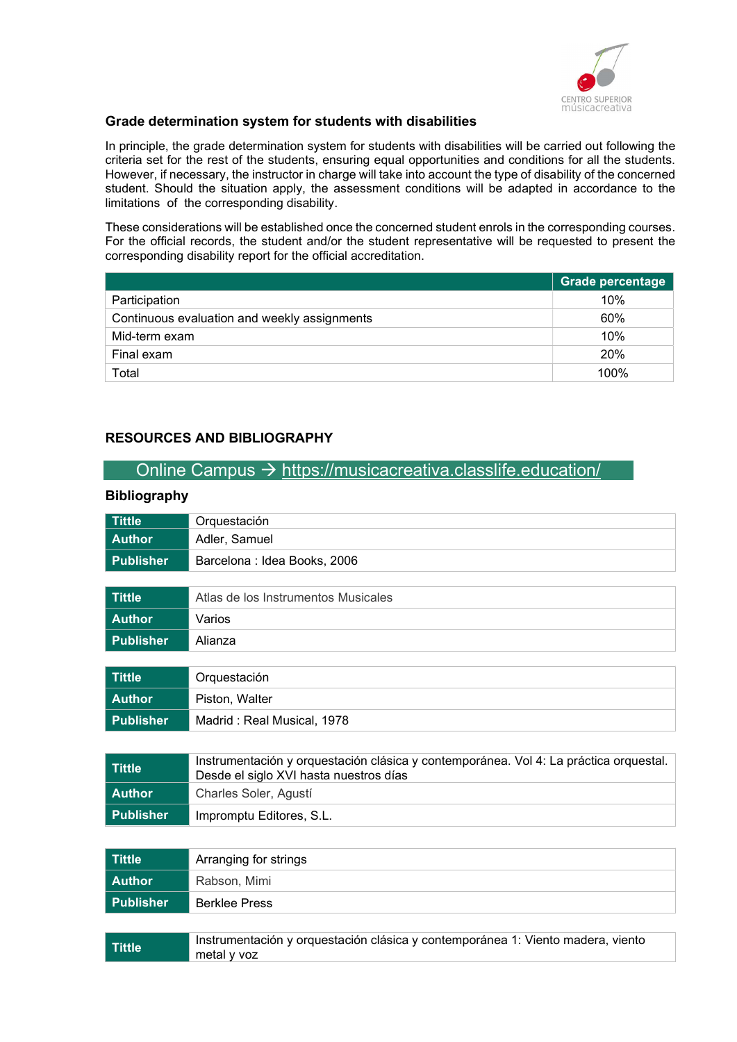

#### Grade determination system for students with disabilities

In principle, the grade determination system for students with disabilities will be carried out following the criteria set for the rest of the students, ensuring equal opportunities and conditions for all the students. However, if necessary, the instructor in charge will take into account the type of disability of the concerned student. Should the situation apply, the assessment conditions will be adapted in accordance to the limitations of the corresponding disability.

These considerations will be established once the concerned student enrols in the corresponding courses. For the official records, the student and/or the student representative will be requested to present the corresponding disability report for the official accreditation.

|                                              | <b>Grade percentage</b> |
|----------------------------------------------|-------------------------|
| Participation                                | 10%                     |
| Continuous evaluation and weekly assignments | 60%                     |
| Mid-term exam                                | 10%                     |
| Final exam                                   | <b>20%</b>              |
| Total                                        | 100%                    |

#### RESOURCES AND BIBLIOGRAPHY

metal y voz

## Online Campus  $\rightarrow$  https://musicacreativa.classlife.education/

#### Bibliography

| <b>Tittle</b>    | Orquestación                                                                                                                    |
|------------------|---------------------------------------------------------------------------------------------------------------------------------|
| <b>Author</b>    | Adler, Samuel                                                                                                                   |
| <b>Publisher</b> | Barcelona : Idea Books, 2006                                                                                                    |
|                  |                                                                                                                                 |
| <b>Tittle</b>    | Atlas de los Instrumentos Musicales                                                                                             |
| <b>Author</b>    | Varios                                                                                                                          |
| <b>Publisher</b> | Alianza                                                                                                                         |
|                  |                                                                                                                                 |
| <b>Tittle</b>    | Orquestación                                                                                                                    |
| <b>Author</b>    | Piston, Walter                                                                                                                  |
| <b>Publisher</b> | Madrid: Real Musical, 1978                                                                                                      |
|                  |                                                                                                                                 |
| <b>Tittle</b>    | Instrumentación y orquestación clásica y contemporánea. Vol 4: La práctica orquestal.<br>Desde el siglo XVI hasta nuestros días |
| <b>Author</b>    | Charles Soler, Agustí                                                                                                           |
| <b>Publisher</b> | Impromptu Editores, S.L.                                                                                                        |
|                  |                                                                                                                                 |
| <b>Tittle</b>    | Arranging for strings                                                                                                           |
| <b>Author</b>    | Rabson, Mimi                                                                                                                    |
| <b>Publisher</b> | <b>Berklee Press</b>                                                                                                            |
|                  |                                                                                                                                 |

Tittle Instrumentación y orquestación clásica y contemporánea 1: Viento madera, viento